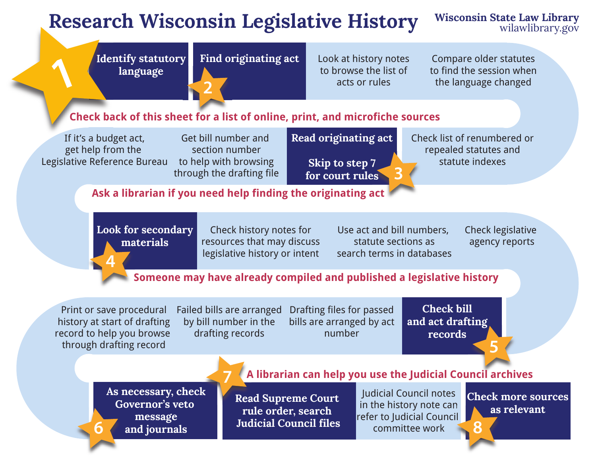# **Research Wisconsin Legislative History** Wisconsin State Law Library